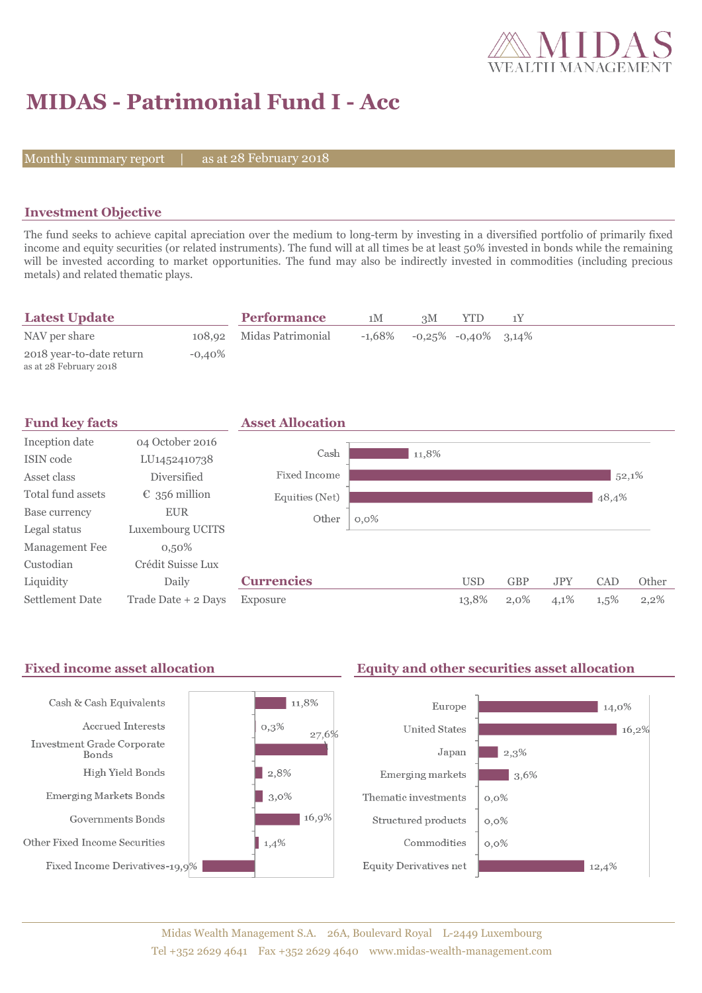

# **MIDAS - Patrimonial Fund I - Acc**

Monthly summary report

28 February 2018

### **Investment Objective**

The fund seeks to achieve capital apreciation over the medium to long-term by investing in a diversified portfolio of primarily fixed income and equity securities (or related instruments). The fund will at all times be at least 50% invested in bonds while the remaining will be invested according to market opportunities. The fund may also be indirectly invested in commodities (including precious metals) and related thematic plays.

| <b>Latest Update</b>                               |           | <b>Performance</b>       | 1M | ЗM                                     | YTD |  |
|----------------------------------------------------|-----------|--------------------------|----|----------------------------------------|-----|--|
| NAV per share                                      |           | 108,92 Midas Patrimonial |    | $-1,68\%$ $-0,25\%$ $-0,40\%$ $3,14\%$ |     |  |
| 2018 year-to-date return<br>as at 28 February 2018 | $-0.40\%$ |                          |    |                                        |     |  |



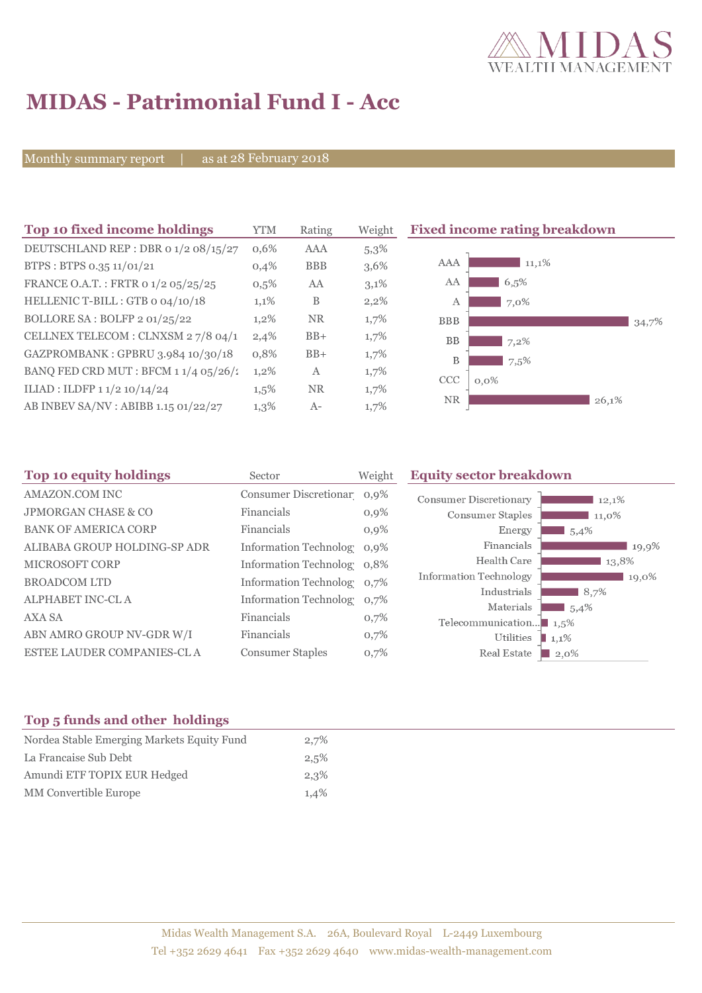

# **MIDAS - Patrimonial Fund I - Acc**

Monthly summary report | as at 28 February 2018

| Top 10 fixed income holdings           | <b>YTM</b> | Rating     | Weight  | <b>Fixed income rating breakdown</b> |  |  |
|----------------------------------------|------------|------------|---------|--------------------------------------|--|--|
| DEUTSCHLAND REP : DBR 0 1/2 08/15/27   | $0.6\%$    | AAA        | $5,3\%$ |                                      |  |  |
| BTPS: BTPS 0.35 11/01/21               | 0,4%       | <b>BBB</b> | 3,6%    | AAA<br>11,1%                         |  |  |
| FRANCE O.A.T.: FRTR 0 1/2 05/25/25     | 0,5%       | AA         | 3,1%    | AA<br>6,5%                           |  |  |
| HELLENIC T-BILL: GTB 0 04/10/18        | 1,1%       | B          | 2,2%    | 7,0%<br>A                            |  |  |
| BOLLORE SA: BOLFP 2 01/25/22           | $1,2\%$    | <b>NR</b>  | 1,7%    | <b>BBB</b><br>34,7%                  |  |  |
| CELLNEX TELECOM : CLNXSM 27/8 04/1     | 2,4%       | $BB+$      | 1,7%    | BB<br>$7,2\%$                        |  |  |
| GAZPROMBANK: GPBRU 3.984 10/30/18      | 0,8%       | $BB+$      | 1,7%    | B<br>7,5%                            |  |  |
| BANQ FED CRD MUT : BFCM $11/4$ 05/26/2 | $1,2\%$    | A          | 1,7%    | <b>CCC</b><br>$0.0\%$                |  |  |
| ILIAD : ILDFP 1 1/2 10/14/24           | $1,5\%$    | <b>NR</b>  | 1,7%    |                                      |  |  |
| AB INBEV SA/NV : ABIBB 1.15 01/22/27   | 1,3%       | $A-$       | 1,7%    | <b>NR</b><br>26,1%                   |  |  |

| Sector                  | Weight  | <b>Equity sector breakdown</b>                                                                                                                     |
|-------------------------|---------|----------------------------------------------------------------------------------------------------------------------------------------------------|
|                         |         | <b>Consumer Discretionary</b><br>12,1%                                                                                                             |
| Financials              | $0,9\%$ | Consumer Staples<br>11,0%                                                                                                                          |
| Financials              | $0.9\%$ | Energy<br>1,5,4%                                                                                                                                   |
|                         |         | Financials<br>19,9%                                                                                                                                |
|                         |         | Health Care<br>13,8%                                                                                                                               |
|                         |         | <b>Information Technology</b><br>19,0%                                                                                                             |
|                         |         | Industrials<br>8,7%                                                                                                                                |
| Financials              | 0,7%    | Materials<br>5,4%<br>Telecommunication $\blacksquare$ 1,5%                                                                                         |
| Financials              | 0,7%    | Utilities<br>1,1%                                                                                                                                  |
| <b>Consumer Staples</b> | 0,7%    | Real Estate<br>$\Box$ 2.0%                                                                                                                         |
|                         |         | Consumer Discretionar 0,9%<br>Information Technolog 0,9%<br>Information Technolog 0,8%<br>Information Technolog 0,7%<br>Information Technolog 0.7% |

## **Top 5 funds and other holdings**

| Nordea Stable Emerging Markets Equity Fund | 2,7% |
|--------------------------------------------|------|
| La Francaise Sub Debt                      | 2,5% |
| Amundi ETF TOPIX EUR Hedged                | 2,3% |
| <b>MM</b> Convertible Europe               | 1,4% |
|                                            |      |